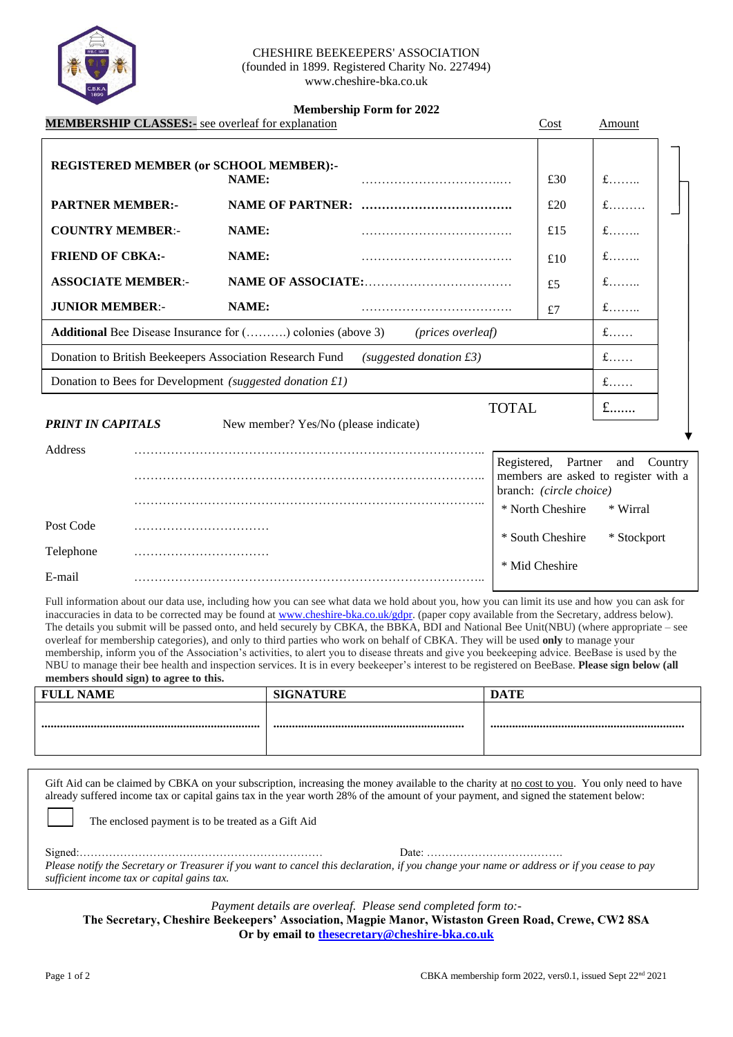

#### CHESHIRE BEEKEEPERS' ASSOCIATION (founded in 1899. Registered Charity No. 227494) www.cheshire-bka.co.uk

### **Membership Form for 2022**

|                                                                                                        |  | <b>MEMBERSHIP CLASSES:</b> - see overleaf for explanation | <u>менюстятр гогигног 2022</u> |  | Cost                                           | Amount                                              |  |
|--------------------------------------------------------------------------------------------------------|--|-----------------------------------------------------------|--------------------------------|--|------------------------------------------------|-----------------------------------------------------|--|
|                                                                                                        |  | REGISTERED MEMBER (or SCHOOL MEMBER):-<br>NAME:           |                                |  | £30                                            | $f$                                                 |  |
| <b>PARTNER MEMBER:-</b>                                                                                |  |                                                           |                                |  | £20                                            | $f$                                                 |  |
| <b>COUNTRY MEMBER:-</b>                                                                                |  | NAME:                                                     |                                |  | £15                                            | $f$                                                 |  |
| <b>FRIEND OF CBKA:-</b>                                                                                |  | NAME:                                                     |                                |  | £10                                            | $f$                                                 |  |
| <b>ASSOCIATE MEMBER:-</b>                                                                              |  |                                                           |                                |  | £5                                             | $f$                                                 |  |
| <b>JUNIOR MEMBER:-</b>                                                                                 |  | NAME:                                                     |                                |  | £7                                             | $f$                                                 |  |
| $f$<br><b>Additional</b> Bee Disease Insurance for () colonies (above 3)<br>( <i>prices overleaf</i> ) |  |                                                           |                                |  |                                                |                                                     |  |
| Donation to British Beekeepers Association Research Fund<br>$f$<br>$(suggested\, domain\, \pounds3)$   |  |                                                           |                                |  |                                                |                                                     |  |
| Donation to Bees for Development (suggested donation £1)                                               |  |                                                           |                                |  | $f$                                            |                                                     |  |
| $f$<br><b>TOTAL</b><br><b>PRINT IN CAPITALS</b><br>New member? Yes/No (please indicate)<br>Address     |  |                                                           |                                |  |                                                |                                                     |  |
|                                                                                                        |  |                                                           |                                |  | Registered, Partner<br>branch: (circle choice) | and Country<br>members are asked to register with a |  |
| Post Code                                                                                              |  |                                                           |                                |  | * North Cheshire                               | * Wirral                                            |  |
| Telephone                                                                                              |  |                                                           |                                |  | * South Cheshire                               | * Stockport                                         |  |

| гететли пе |                        |
|------------|------------------------|
|            | `he c<br>M1d<br>h 1 ro |
| ma:        |                        |

Full information about our data use, including how you can see what data we hold about you, how you can limit its use and how you can ask for inaccuracies in data to be corrected may be found at [www.cheshire-bka.co.uk/gdpr.](http://www.cheshire-bka.co.uk/gdpr) (paper copy available from the Secretary, address below). The details you submit will be passed onto, and held securely by CBKA, the BBKA, BDI and National Bee Unit(NBU) (where appropriate – see overleaf for membership categories), and only to third parties who work on behalf of CBKA. They will be used **only** to manage your membership, inform you of the Association's activities, to alert you to disease threats and give you beekeeping advice. BeeBase is used by the NBU to manage their bee health and inspection services. It is in every beekeeper's interest to be registered on BeeBase. **Please sign below (all members should sign) to agree to this.** 

| <b>FULL NAME</b> | <b>SIGNATURE</b> | <b>DATE</b> |
|------------------|------------------|-------------|
|                  |                  |             |
|                  |                  |             |
|                  |                  |             |
|                  |                  |             |

Gift Aid can be claimed by CBKA on your subscription, increasing the money available to the charity at no cost to you. You only need to have already suffered income tax or capital gains tax in the year worth 28% of the amount of your payment, and signed the statement below: The enclosed payment is to be treated as a Gift Aid

Signed:………………………………………………………… Date: ………………………………. *Please notify the Secretary or Treasurer if you want to cancel this declaration, if you change your name or address or if you cease to pay sufficient income tax or capital gains tax.*

*Payment details are overleaf. Please send completed form to:-*

**The Secretary, Cheshire Beekeepers' Association, Magpie Manor, Wistaston Green Road, Crewe, CW2 8SA Or by email to [thesecretary@cheshire-bka.co.uk](mailto:thesecretary@cheshire-bka.co.uk)**